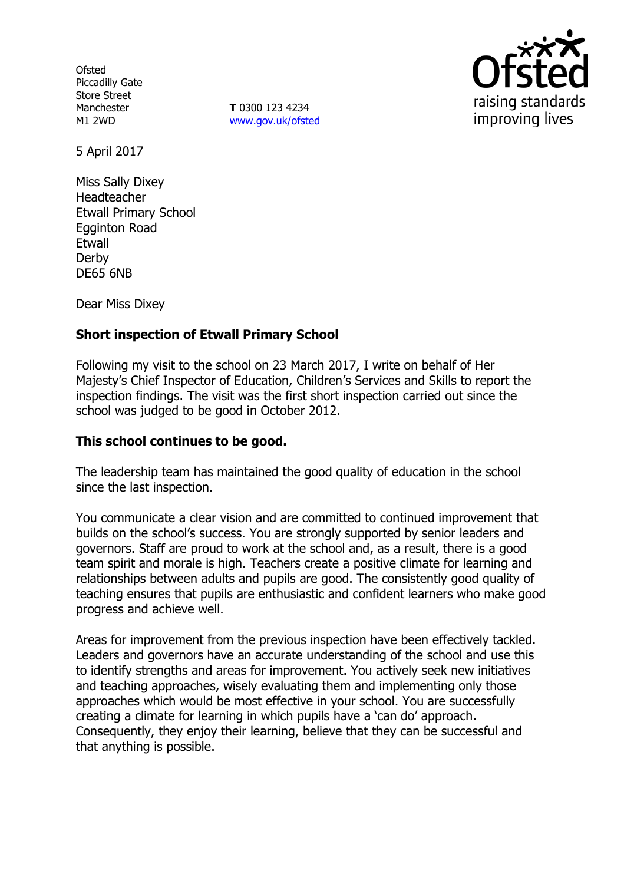**Ofsted** Piccadilly Gate Store Street Manchester M1 2WD

**T** 0300 123 4234 www.gov.uk/ofsted



5 April 2017

Miss Sally Dixey Headteacher Etwall Primary School Egginton Road Etwall Derby DE65 6NB

Dear Miss Dixey

# **Short inspection of Etwall Primary School**

Following my visit to the school on 23 March 2017, I write on behalf of Her Majesty's Chief Inspector of Education, Children's Services and Skills to report the inspection findings. The visit was the first short inspection carried out since the school was judged to be good in October 2012.

### **This school continues to be good.**

The leadership team has maintained the good quality of education in the school since the last inspection.

You communicate a clear vision and are committed to continued improvement that builds on the school's success. You are strongly supported by senior leaders and governors. Staff are proud to work at the school and, as a result, there is a good team spirit and morale is high. Teachers create a positive climate for learning and relationships between adults and pupils are good. The consistently good quality of teaching ensures that pupils are enthusiastic and confident learners who make good progress and achieve well.

Areas for improvement from the previous inspection have been effectively tackled. Leaders and governors have an accurate understanding of the school and use this to identify strengths and areas for improvement. You actively seek new initiatives and teaching approaches, wisely evaluating them and implementing only those approaches which would be most effective in your school. You are successfully creating a climate for learning in which pupils have a 'can do' approach. Consequently, they enjoy their learning, believe that they can be successful and that anything is possible.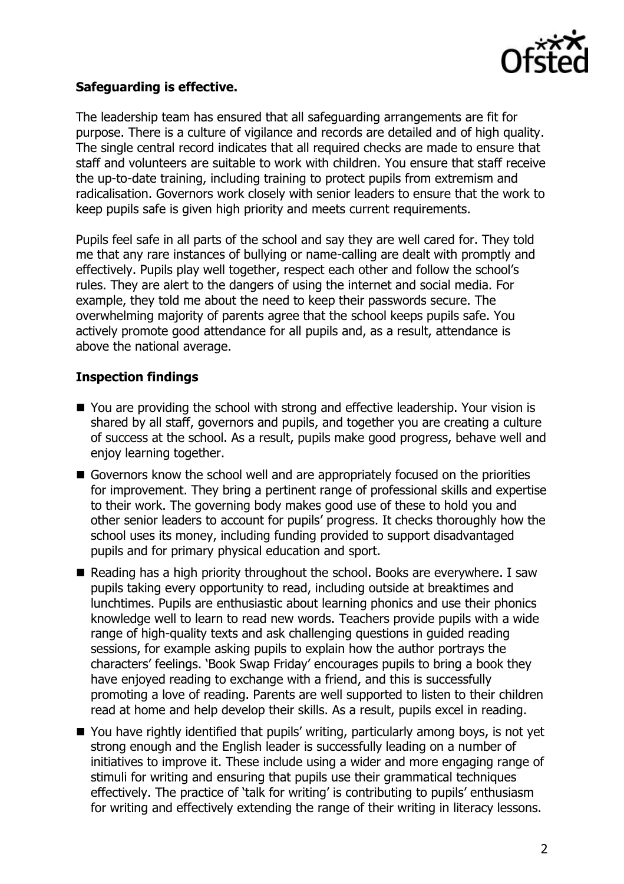

### **Safeguarding is effective.**

The leadership team has ensured that all safeguarding arrangements are fit for purpose. There is a culture of vigilance and records are detailed and of high quality. The single central record indicates that all required checks are made to ensure that staff and volunteers are suitable to work with children. You ensure that staff receive the up-to-date training, including training to protect pupils from extremism and radicalisation. Governors work closely with senior leaders to ensure that the work to keep pupils safe is given high priority and meets current requirements.

Pupils feel safe in all parts of the school and say they are well cared for. They told me that any rare instances of bullying or name-calling are dealt with promptly and effectively. Pupils play well together, respect each other and follow the school's rules. They are alert to the dangers of using the internet and social media. For example, they told me about the need to keep their passwords secure. The overwhelming majority of parents agree that the school keeps pupils safe. You actively promote good attendance for all pupils and, as a result, attendance is above the national average.

### **Inspection findings**

- You are providing the school with strong and effective leadership. Your vision is shared by all staff, governors and pupils, and together you are creating a culture of success at the school. As a result, pupils make good progress, behave well and enjoy learning together.
- Governors know the school well and are appropriately focused on the priorities for improvement. They bring a pertinent range of professional skills and expertise to their work. The governing body makes good use of these to hold you and other senior leaders to account for pupils' progress. It checks thoroughly how the school uses its money, including funding provided to support disadvantaged pupils and for primary physical education and sport.
- Reading has a high priority throughout the school. Books are everywhere. I saw pupils taking every opportunity to read, including outside at breaktimes and lunchtimes. Pupils are enthusiastic about learning phonics and use their phonics knowledge well to learn to read new words. Teachers provide pupils with a wide range of high-quality texts and ask challenging questions in guided reading sessions, for example asking pupils to explain how the author portrays the characters' feelings. 'Book Swap Friday' encourages pupils to bring a book they have enjoyed reading to exchange with a friend, and this is successfully promoting a love of reading. Parents are well supported to listen to their children read at home and help develop their skills. As a result, pupils excel in reading.
- You have rightly identified that pupils' writing, particularly among boys, is not yet strong enough and the English leader is successfully leading on a number of initiatives to improve it. These include using a wider and more engaging range of stimuli for writing and ensuring that pupils use their grammatical techniques effectively. The practice of 'talk for writing' is contributing to pupils' enthusiasm for writing and effectively extending the range of their writing in literacy lessons.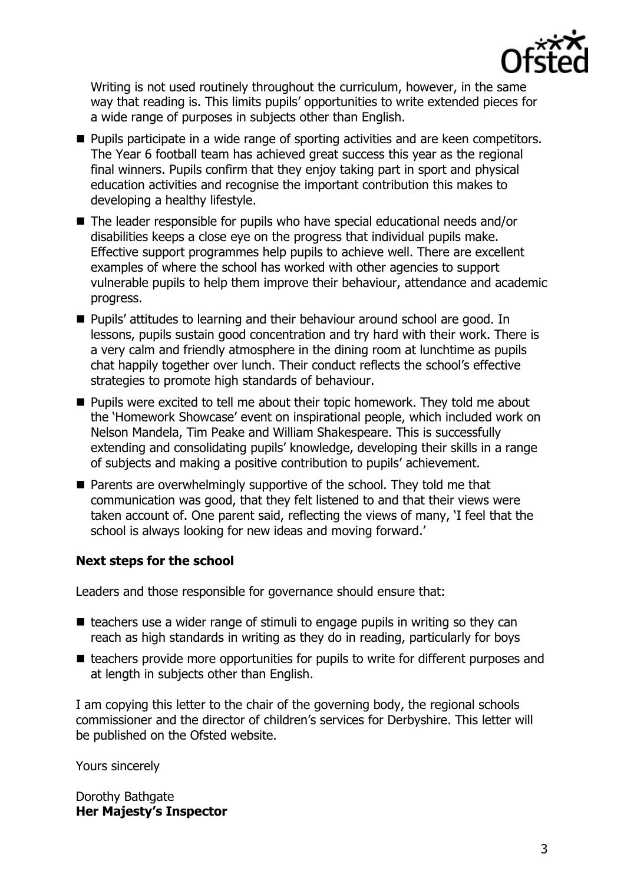

Writing is not used routinely throughout the curriculum, however, in the same way that reading is. This limits pupils' opportunities to write extended pieces for a wide range of purposes in subjects other than English.

- **Pupils participate in a wide range of sporting activities and are keen competitors.** The Year 6 football team has achieved great success this year as the regional final winners. Pupils confirm that they enjoy taking part in sport and physical education activities and recognise the important contribution this makes to developing a healthy lifestyle.
- The leader responsible for pupils who have special educational needs and/or disabilities keeps a close eye on the progress that individual pupils make. Effective support programmes help pupils to achieve well. There are excellent examples of where the school has worked with other agencies to support vulnerable pupils to help them improve their behaviour, attendance and academic progress.
- **Pupils' attitudes to learning and their behaviour around school are good. In** lessons, pupils sustain good concentration and try hard with their work. There is a very calm and friendly atmosphere in the dining room at lunchtime as pupils chat happily together over lunch. Their conduct reflects the school's effective strategies to promote high standards of behaviour.
- **Pupils were excited to tell me about their topic homework. They told me about** the 'Homework Showcase' event on inspirational people, which included work on Nelson Mandela, Tim Peake and William Shakespeare. This is successfully extending and consolidating pupils' knowledge, developing their skills in a range of subjects and making a positive contribution to pupils' achievement.
- Parents are overwhelmingly supportive of the school. They told me that communication was good, that they felt listened to and that their views were taken account of. One parent said, reflecting the views of many, 'I feel that the school is always looking for new ideas and moving forward.'

# **Next steps for the school**

Leaders and those responsible for governance should ensure that:

- $\blacksquare$  teachers use a wider range of stimuli to engage pupils in writing so they can reach as high standards in writing as they do in reading, particularly for boys
- $\blacksquare$  teachers provide more opportunities for pupils to write for different purposes and at length in subjects other than English.

I am copying this letter to the chair of the governing body, the regional schools commissioner and the director of children's services for Derbyshire. This letter will be published on the Ofsted website.

Yours sincerely

Dorothy Bathgate **Her Majesty's Inspector**